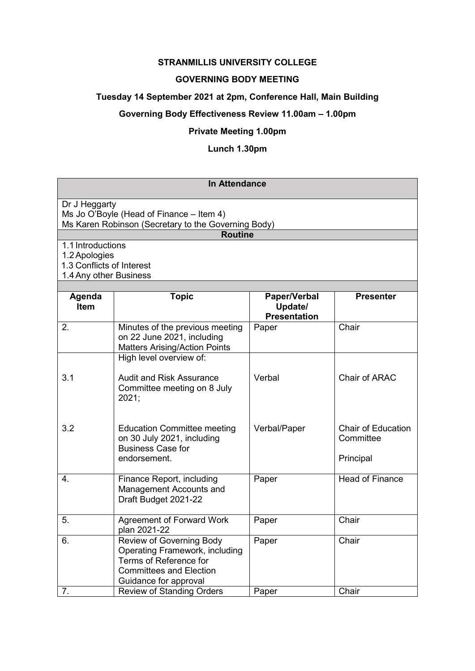# **STRANMILLIS UNIVERSITY COLLEGE**

### **GOVERNING BODY MEETING**

#### **Tuesday 14 September 2021 at 2pm, Conference Hall, Main Building**

### **Governing Body Effectiveness Review 11.00am – 1.00pm**

#### **Private Meeting 1.00pm**

#### **Lunch 1.30pm**

# **In Attendance**

Dr J Heggarty Ms Jo O'Boyle (Head of Finance – Item 4) Ms Karen Robinson (Secretary to the Governing Body)

**Routine**

1.1 Introductions

1.2Apologies

1.3 Conflicts of Interest

1.4Any other Business

| Agenda<br>Item | <b>Topic</b>                                                                                                                                           | Paper/Verbal<br>Update/<br><b>Presentation</b> | <b>Presenter</b>                                    |  |
|----------------|--------------------------------------------------------------------------------------------------------------------------------------------------------|------------------------------------------------|-----------------------------------------------------|--|
| 2.             | Minutes of the previous meeting<br>on 22 June 2021, including<br><b>Matters Arising/Action Points</b>                                                  | Paper                                          | Chair                                               |  |
|                | High level overview of:                                                                                                                                |                                                |                                                     |  |
| 3.1            | <b>Audit and Risk Assurance</b><br>Committee meeting on 8 July<br>2021;                                                                                | Verbal                                         | Chair of ARAC                                       |  |
| 3.2            | <b>Education Committee meeting</b><br>on 30 July 2021, including<br><b>Business Case for</b><br>endorsement.                                           | Verbal/Paper                                   | <b>Chair of Education</b><br>Committee<br>Principal |  |
| 4.             | Finance Report, including<br>Management Accounts and<br>Draft Budget 2021-22                                                                           | Paper                                          | <b>Head of Finance</b>                              |  |
| 5.             | Agreement of Forward Work<br>plan 2021-22                                                                                                              | Paper                                          | Chair                                               |  |
| 6.             | <b>Review of Governing Body</b><br>Operating Framework, including<br>Terms of Reference for<br><b>Committees and Election</b><br>Guidance for approval | Paper                                          | Chair                                               |  |
| 7.             | <b>Review of Standing Orders</b>                                                                                                                       | Paper                                          | Chair                                               |  |